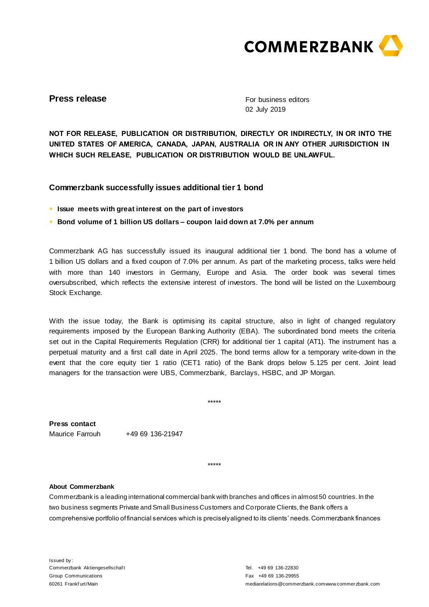

## **Press release**

For business editors 02 July 2019

**NOT FOR RELEASE, PUBLICATION OR DISTRIBUTION, DIRECTLY OR INDIRECTLY, IN OR INTO THE UNITED STATES OF AMERICA, CANADA, JAPAN, AUSTRALIA OR IN ANY OTHER JURISDICTION IN WHICH SUCH RELEASE, PUBLICATION OR DISTRIBUTION WOULD BE UNLAWFUL.**

## **Commerzbank successfully issues additional tier 1 bond**

- **● Issue meets with great interest on the part of investors**
- **● Bond volume of 1 billion US dollars – coupon laid down at 7.0% per annum**

Commerzbank AG has successfully issued its inaugural additional tier 1 bond. The bond has a volume of 1 billion US dollars and a fixed coupon of 7.0% per annum. As part of the marketing process, talks were held with more than 140 investors in Germany, Europe and Asia. The order book was several times oversubscribed, which reflects the extensive interest of investors. The bond will be listed on the Luxembourg Stock Exchange.

With the issue today, the Bank is optimising its capital structure, also in light of changed regulatory requirements imposed by the European Banking Authority (EBA). The subordinated bond meets the criteria set out in the Capital Requirements Regulation (CRR) for additional tier 1 capital (AT1). The instrument has a perpetual maturity and a first call date in April 2025. The bond terms allow for a temporary write-down in the event that the core equity tier 1 ratio (CET1 ratio) of the Bank drops below 5.125 per cent. Joint lead managers for the transaction were UBS, Commerzbank, Barclays, HSBC, and JP Morgan.

**Press contact** Maurice Farrouh +49 69 136-21947

\*\*\*\*\*

\*\*\*\*\*

## **About Commerzbank**

Commerzbank is a leading international commercial bank with branches and offices in almost 50 countries. In the two business segments Private and Small Business Customers and Corporate Clients, the Bank offers a comprehensive portfolio of financial services which is precisely aligned to its clients' needs. Commerzbank finances